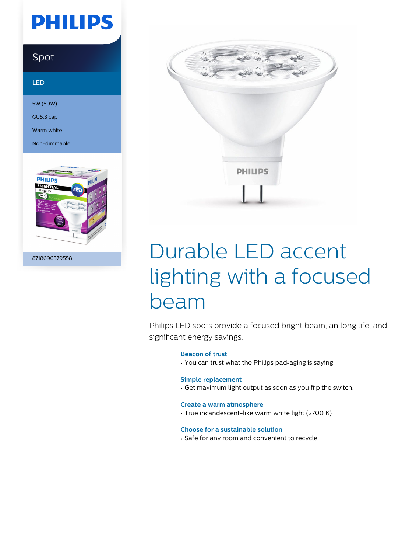# **PHILIPS**

### Spot

#### LED

5W (50W)

GU5.3 cap

Warm white

Non-dimmable



8718696579558



# Durable LED accent lighting with a focused beam

Philips LED spots provide a focused bright beam, an long life, and significant energy savings.

#### **Beacon of trust**

• You can trust what the Philips packaging is saying.

#### **Simple replacement**

• Get maximum light output as soon as you flip the switch.

#### **Create a warm atmosphere**

• True incandescent-like warm white light (2700 K)

#### **Choose for a sustainable solution**

• Safe for any room and convenient to recycle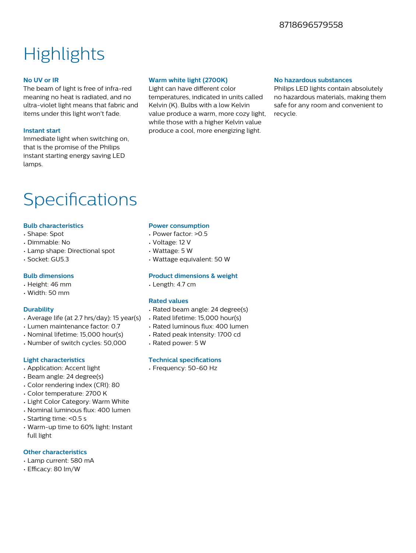### 8718696579558

## **Highlights**

#### **No UV or IR**

The beam of light is free of infra-red meaning no heat is radiated, and no ultra-violet light means that fabric and items under this light won't fade.

#### **Instant start**

Immediate light when switching on, that is the promise of the Philips instant starting energy saving LED lamps.

#### **Warm white light (2700K)**

Light can have different color temperatures, indicated in units called Kelvin (K). Bulbs with a low Kelvin value produce a warm, more cozy light, while those with a higher Kelvin value produce a cool, more energizing light.

#### **No hazardous substances**

Philips LED lights contain absolutely no hazardous materials, making them safe for any room and convenient to recycle.

### Specifications

#### **Bulb characteristics**

- Shape: Spot
- Dimmable: No
- Lamp shape: Directional spot
- Socket: GU5.3

#### **Bulb dimensions**

- Height: 46 mm
- Width: 50 mm

#### **Durability**

- Average life (at 2.7 hrs/day): 15 year(s)
- Lumen maintenance factor: 0.7
- Nominal lifetime: 15,000 hour(s)
- Number of switch cycles: 50,000

#### **Light characteristics**

- Application: Accent light
- Beam angle: 24 degree(s)
- Color rendering index (CRI): 80
- Color temperature: 2700 K
- Light Color Category: Warm White
- $\cdot$  Nominal luminous flux: 400 lumen
- Starting time: <0.5 s
- Warm-up time to 60% light: Instant full light

#### **Other characteristics**

- Lamp current: 580 mA
- Efficacy: 80 lm/W

#### **Power consumption**

- Power factor: >0.5
- Voltage: 12 V
- Wattage: 5 W
- Wattage equivalent: 50 W

#### **Product dimensions & weight**

• Length: 4.7 cm

#### **Rated values**

- Rated beam angle: 24 degree(s)
- Rated lifetime: 15,000 hour(s)
- Rated luminous flux: 400 lumen
- Rated peak intensity: 1700 cd
- Rated power: 5 W

#### **Technical specifications**

• Frequency: 50-60 Hz